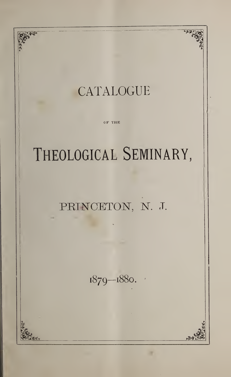# **CATALOGUE**

OF THE

# Theological Seminary,

## PRINCETON, N. J.

1879—1880.

 $\frac{\partial f}{\partial x}$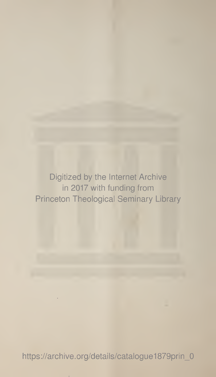Digitized by the Internet Archive in 2017 with funding from Princeton Theological Seminary Library

https://archive.org/details/catalogue1879prin\_0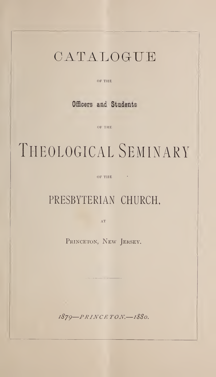# CATALOGUE

OF THE

Officers and Students

OF THE

# Theological Seminary

OF THE

## PRESBYTERIAN CHURCH,

AT

PRINCETON, NEW JERSEY.

1879—PRINCETON.—1880.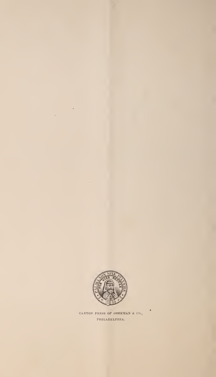

 $\epsilon$ 

 $\bar{\gamma}$ 

CAXTON PRESS OF SHERMAN & CO., PHILADELPHIA.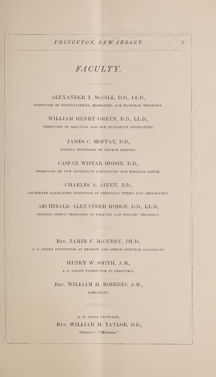$\tilde{D}$ 

## FACULTY.

ALEXANDER T. McGILL, D.D., LL.D., PROFESSOR OF ECCLESIASTICAL, HOMILETIC, AND PASTORAL THEOLOGY.

WILLIAM HENRY GREEN, D.D., LL.D., PROFESSOR OF ORIENTAL AND OLD TESTAMENT LITERATURE.

> JAMES C. MOFFAT, D.D., HELENA PROFESSOR OF CHURCH HISTORY.

CASPAR WISTAR HODGE, D.D., PROFESSOR OF NEW TESTAMENT LITERATURE AND BIBLICAL GREEK.

CHARLES A. AIKEN, D.D., ARCHIBALD ALEXANDER PROFESSOR OF CHRISTIAN ETHICS AND APOLOGETICS.

ARCHIBALD ALEXANDER HODGE, D.D., LL.D., CHARLES HODGE PROFESSOR OF DIDACTIC AND POLEMIC THEOLOGY.

Rev. JAMES F. McCURDY, PH.D, J. C. GREEN INSTRUCTOR IN HEBREW AND OTHER ORIENTAL LANGUAGES.

> HENRY W. SMITH, A.M., J. C. GREEN INSTRUCTOR IN ELOCUTION.

Rev. WILLIAM H. ROBERTS, A.M., LIBRARIAN.

L. P. STONE LECTURER, Rev. WILLIAM M. TAYLOR, D.D., SUBJECT: "Miracles."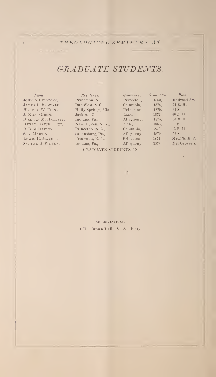## GRADUATE STUDENTS.

Name. Residence. Seminary. Graduated. Room.<br>S. BEEKMAN, Princeton, N. J., Princeton, 1860, Railroad Av. JOHN S. BEEKMAN, Princeton, N. J., Princeton, 1860, Railroad AMES L. BROWNLEE. Due West, S.C., Columbia. 1878. 24 B. H.  $\begin{tabular}{l l l l} JAMES & BROWNLEE, & Due West, S. C., & Columbia, & 1878, & 24 B. \\ HARY W. FLINN, & Hollywood-1879, & 33 S. \\ \end{tabular}$ Holly Springs, Miss., Princeton, 1879, 33 S.<br>Jackson, O., Lane, 1872, 46 B. H. J. KING GIBSON, Jackson, O., Lane, DILLWIN M. HAZLETT, Indiana, Pa., Allegheny, Dillwin M. Hazlett, Indiana, Pa., Allegheny, 1875, 36 B. H. HENRY DAVID KUTZ, New Haven, N. Y., Yale, 1863, 1 S.<br>R. B. McALPINE. Princeton, N. J., Columbia. 1876, 13 B. H. R. B. McALPINE, Princeton, N. J., Columbia, 1876, S. A. MARTIN, Canonsburg, Pa., Allegheny, 1879, 56 S.<br>
LEWIS H. MAYERS, Princeton, N. J., Princeton, 1874, Mrs. Phillips'. Lewis H. MAYERS, ' Princeton, N. J., . Princeton, 1874, SAMUEL G. WILSON, Indiana, Pa., Allegheny, 1879, Samuel G. Wilson, Indiana, Pa., Allegheny, 1879, Mr. Grover's. GRADUATE STUDENTS, 10.

 $\ddot{\phantom{0}}$ 

l,

ABBREVIATIONS.

B. H.—Brown Hall. S.—Semiuary.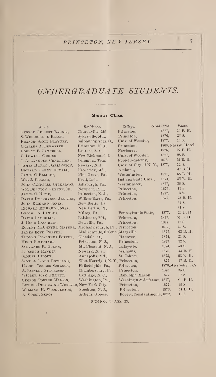$\sim$ 

à,

## UNDERGRADUATE STUDENTS.

#### Senior Class.

| Name.                                    | Residence.                        | College.                      | Graduated. | Room.                |
|------------------------------------------|-----------------------------------|-------------------------------|------------|----------------------|
| <b>GEORGE GILBERT BARNES,</b>            | Churchville, Md.,                 | Princeton,                    | 1877,      | 29 B. H.             |
| S. WOODBRIDGE BEACH,                     | Sykesville, Md.,                  | Princeton,                    | 1876,      | 23 S.                |
| FRANCIS SCOTT BLAYNEY,                   | Sulphur Springs, O.,              | Univ. of Wooster,             | 1877,      | 15 S.                |
| CHARLES A. BREWSTER,                     | Princeton, N. J.,                 | Princeton,                    |            | 1868, Nassau Hotel.  |
| ROBERT E. CAMPBELL,                      | Laurens, S. $C_{\alpha}$          | Newberry,                     | 1876,      | 27 B. H.             |
| C. LOWELL COODER,                        | New Richmond, O.,                 | Univ. of Wooster,             | 1877,      | 28 S.                |
| J. ALEXANDER CREIGHTON,                  | Columbia, Tenn.,                  | Forest Academy,               | 1873,      | 25 B. H.             |
| JAMES HENRY DARLINGTON,                  | Newark, N. J.,                    | Univ. of City of N.Y.,        | 1877,      | 14 S.                |
| EDWARD HARRY DUVALL,                     | Frederick, Md.,                   | Amherst,                      |            | 47 B. II.            |
| JAMES C. ELLIOTT,                        | Pine Grove, Pa.,                  | Westminster,                  | 1877,      | 65 B. H.             |
| WM. J. FRAZER,                           | Paoli, Ind.,                      | Indiana State Univ.,          | 1874,      | 35 B. H.             |
| JOHN CAMPBELL GILKERSON,                 | Saltsburgh, Pa.,                  | Westminster,                  | 1877,      | 36 S.                |
| WM. BRENTON GREENE, JR.,                 | Newport, R. I.,                   | Princeton,                    | 1876,      | 13 S.                |
| JAMES C. HUME,                           | Princeton, N. J.,                 | Princeton,                    | 1877,      | 3 S.                 |
| DAVID DYFFRYNOG JENKINS,                 | Wilkes-Barre, Pa.,                | Princeton,                    | 1877,      | 75 B. H.             |
| JOHN RICHARD JONES,                      | New Berlin, Pa.,                  |                               |            | 31 S.                |
| RICHARD RICHARD JONES,                   | New Berlin, Pa.,                  |                               |            | 31 S.                |
| GEORGE A. LANDES,                        | Milroy, Pa.,                      | Pennsylvania State,           | 1877,      | 23 B.H.              |
| DAVID LAUGHLIN,                          | Baltimore, Md.,                   | Princeton,                    | 1877,      | 57 B.H.              |
| J. HOOD LAUGHLIN,                        | Newville, Pa.,                    | Princeton,                    | 1877,      | 17 S.                |
| ROBERT MCCHEYNE MATEER.                  | Mechanicsburgh, Pa., Princeton,   |                               | 1877,      | 24 S.                |
| <b>JAMES BOYD PORTER,</b>                | Madisonville, E.Tenn., Maryville, |                               | 1877,      | 63 B.II.             |
| THOMAS CHALMERS POTTER,                  | Glendale, $\theta$ .,             | Hanover,                      | 1874,      | 21 S.                |
| HUGH PRITCHARD,                          | Princeton, N. J.,                 | Princeton,                    | 1877,      | 22S <sub>1</sub>     |
| SYLVANUS R. QUEEN,                       | Mt. Pleasant, N. J.,              | Lafayette,                    | 1874,      | 40 S.                |
| J. JOSEPH RANKIN,                        | Newark, N. J.,                    | Williams,                     | 1876,      | 43 B. H.             |
| SAMUEL RIDOUT,                           | Annapolis, Md.,                   | St. John's,                   | 1873,      | 53 B. II.            |
| SAMUEL JAMES ROWLAND,                    | West Kortright, N.Y., Princeton,  |                               | 1877,      | 37 B. II.            |
| HARRIS ROGERS SCHENCK,                   | Philadelphia, Pa.,                | Princeton,                    |            | 1876, Miss Schenck's |
| A. RUSSELL STEVENSON,                    | Chambersburg, Pa.,                | Princeton,                    | 1876.      | 35 S.                |
| WILBUR FISK TILLETT,                     | Carthage, N.C.                    | Randolph Macon,               | 1877,      | 27 S.                |
| GEORGE PORTER WILSON,                    | Washington, Pa.,                  | Washing'n & Jefferson, 1877,  |            | C., B. II.           |
| LUTHER DELORAINE WISHARD, New York City, |                                   | Princeton,                    | 1877,      | 29 S.                |
| WILLIAM H. WOOLVERTON,                   | Stockton, N. J.,                  | Princeton,                    | 1876,      | 51 B.H.              |
| A. CONST. ZENOS,                         | Athens, Greece,                   | Robert, Constantinople, 1872, |            | 16 S.                |

SENIOR CLASS, 35.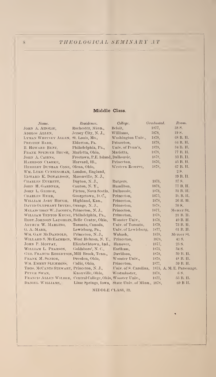#### Middle Class.

| Name.                                                       | Residence.                                      | College.              | Graduated. | Room.                     |
|-------------------------------------------------------------|-------------------------------------------------|-----------------------|------------|---------------------------|
| JOHN A. AINSLIE,                                            | Rochester, Minn.,                               | Beloit.               | 1877,      | 38 S.                     |
| ADOLOS ALLEN,                                               | Jersey City, N. J.,                             | Williams,             | 1878,      | 19 S.                     |
| LYMAN WHITNEY ALLEN, St. Louis, Mo.,                        |                                                 | Washington Univ.,     | 1878,      | 68 B. II.                 |
| PRESTON BARR.                                               | Elderton, Pa.                                   | Princeton,            | 1878,      | 64 B. H.                  |
| R. HOWARD BENT,                                             | Philadelphia, Pa.,                              | Univ. of Penn'a,      | 1878,      | 34 B. H.                  |
| FRANK SPENCER BRUSH,                                        | Marietta, Ohio,                                 | Marietta,             | 1878,      | 77 B. H.                  |
| JOHN A. CAIRNS.                                             | Freetown, P.E. Island, Dalhousie,               |                       | 1878,      | 33 B. Il.                 |
| HARRISON CLARKE.                                            | Harvard, Ill.,                                  | Princeton.            | 1876,      | 45 B. H.                  |
| HERBERT DUNBAR CONE, Olena, Ohio,                           |                                                 | Western Reserve,      | 1878,      | 67 B. H.                  |
| WM. LUKE CUNNINGHAM, London, England,                       |                                                 |                       |            | 2S.                       |
| EDWARD K. DONALDSON, Masonville, N. J.,                     |                                                 |                       |            | 19 B. II.                 |
| CHARLES EVERETT,                                            | Dayton, N. J.,                                  | Rutgers,              | 1878,      | 37 S.                     |
| JOHN H. GARDNER,                                            | Canton, N.Y.,                                   | Hamilton,             | 1878,      | 77 B.H.                   |
| JOHN L. GEORGE,                                             | Pictou, Nova Scotia,                            | Dalhousie,            | 1878,      | 31 B. H.                  |
| CHARLES HERR.                                               | Georgetown, D.C.,                               | Princeton,            | 1875.      | D. B. II.                 |
| WILLIAM ASBY HOUGH,                                         | Highland, Kan.,                                 | Princeton,            | 1878,      | 26 B. II.                 |
| DAVID OLYPHANT IRVING, Orange, N. J.,                       |                                                 | Princeton,            | 1878,      | 30 S <sub>z</sub>         |
| MELANCTHON W. JACOBUS, Princeton, N. J.,                    |                                                 | Princeton,            | 1877,      | Mercer St.                |
| WILLIAM TENTON KRUSE, Philadelphia, Pa.,                    |                                                 | Princeton,            | 1878,      | 21 B. Il.                 |
| ROBT. JOHNSON LAUGHLIN, Belle Centre, Ohio,                 |                                                 | Wooster Univ.,        | 1878.      | 49 B. H.                  |
| ARTHUR W. MARLING,                                          | Toronto, Canada,                                | Univ. of Toronto,     | 1879,      | 73 B. Il.                 |
| G. A. MARR,                                                 | Lewisburg, Pa.,                                 | Univ. of Lewisburg,   | 1877,      | 61 B. H.                  |
| WM. GAW MCDANNOLD,                                          | Princeton, N. J.,                               | Wabash,               | 1878,      | Mercer <sub>St.</sub>     |
| WILLARD S. MCEACHRON, West Hebron, N.Y.,                    |                                                 | Princeton,            | 1878,      | 41 S.                     |
| JOHN P. MOFFAT,                                             | Elizabethtown, Ind.,                            | Hanover,              | 1877,      | $25S$ .                   |
| WILLIAM L. PEARSON.                                         | Goldsboro', N.C.,                               | Earlham,              | 1875,      | 34 S.                     |
| GEO. FRANCIS ROBERTSON, Mill Brook, Tenn.,                  |                                                 | Davidson,             | 1878,      | 39 B. Il.                 |
| FRANK M. SENIOR.                                            | Dresden, Ohio,                                  | Wooster Univ.,        | 1878,      | 41 B. Il.                 |
| WM. EMMET SLEMMONS,                                         | Cadiz, Ohio,                                    | Princeton,            | 1877,      | 59 B. H.                  |
| THOS. MCCANTS STEWART, Princeton, N. J.,                    |                                                 | Univ. of S. Carolina, |            | 1875, A. M. E. Parsonage. |
| PETER SWAN.                                                 | Knoxville, Ohio,                                | Westminster,          | 1878.      | 6 S.                      |
| FRANCIS ALLEN WILBER, Central College, Ohio, Wooster Univ., |                                                 |                       | 1877,      | 55 B.Il.                  |
| DANIEL WILLIAMS,                                            | Lime Springs, Iowa, State Univ. of Minn., 1878, |                       |            | 69 B H.                   |

MIDDLE CLASS, 33.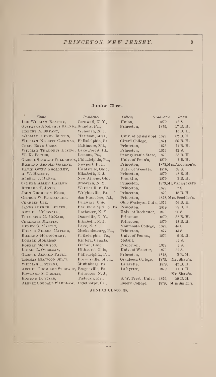#### Junior Class.

| LEE WILLIAM BEATTIE.                         | Cornwall, N.Y.,                    | Union,                      | 1879. | 46 S.                  |
|----------------------------------------------|------------------------------------|-----------------------------|-------|------------------------|
| GUSTAVUS ADOLPHUS BRANDT, Brandts, Pa.,      |                                    | Princeton,                  | 1879, | 17 B.H.                |
| ROBERT A. BRYANT,                            | Wenonah, N. J.,                    |                             |       | 15 B. H.               |
| WILLIAM HENRY BUNTIN,                        | Harrison, Miss.,                   | Univ. of Mississippi. 1879, |       | 62 B.H.                |
| WILLIAM NESBITT CASHMAN, Philadelphia, Pa.,  |                                    | Girard College,             | 1871, | 66 B.H.                |
| CREIG BOYD CROSS,                            | Baltimore, Md.,                    | Princeton,                  | 1875, | 71 B.H.                |
| WILLIAM THADDEUS ELSING, Lake Forest, Ill.,  |                                    | Princeton,                  | 1879, | 42 S.                  |
| W. K. FOSTER,                                | Lemont, Pa.,                       | Pennsylvania State,         | 1879, | 38 B.H.                |
| GEORGE STEWART FULLERTON, Philadelphia, Pa., |                                    | Univ. of Penn'a,            | 1879, | 7 B. H.                |
| RICHARD ARNOLD GREENE,                       | Newport, R. I.,                    | Princeton,                  |       | 1878, Mrs. Anderson's  |
| DAVID OWEN GHORMLEY.                         | Huntsville, Ohio.                  | Univ. of Wooster,           | 1876, | 32 S.                  |
| A. W. HALSEY,                                | Elizabeth, N.J.,                   | Princeton,                  | 1879, | 48 B.H.                |
| ALBERT J. HANNA,                             | New Athens, Ohio.                  | Franklin,                   | 1879, | 3 B.H.                 |
| SAMUEL ALLEN HARLOW,                         | Brooklyn, N.Y.,                    | Princeton,                  |       | 1879, Mr. Van Syckel's |
| RICHARD T. JONES.                            | Warrior Run, Pa.,                  | Princeton,                  | 1879, | 7 S.                   |
| JOHN THOMPSON KERR.                          | Wrightsville, Pa.,                 | Princeton,                  | 1879. | 18 B. H.               |
| GEORGE W. KRETSINGER,                        | San Francisco, Cal.,               | Princeton.                  |       | 1878, Mrs. Scudder's.  |
| CHARLES LEE,                                 | Delaware, Ohio,                    | Ohio Wesleyan Univ., 1879,  |       | 56 B. H.               |
| JAMES LUTHER LEEPER,                         | Frankfort Springs, Pa., Princeton, |                             | 1879, | 28 B.H.                |
| ARTHUR MCDONALD,                             | Rochester, N.Y.,                   | Univ. of Rochester,         | 1879, | 26 S.                  |
| THEODORE M. MCNAIR,                          | Dansville, N.Y.,                   | Princeton,                  | 1879, | 58 B. H.               |
| CHALMERS MARTIN,                             | Elizabeth, N. J.,                  | Princeton,                  | 1879, | 48 B.H.                |
| HENRY G. MARTIN,                             | Lake, N.Y.,                        | Monmouth College,           | 1879, | 45 S.                  |
| HORACE NELSON MATEER,                        | Mechanicsburg, Pa.,                | Princeton,                  | 1877, | 43 S.                  |
| RICHARD MONTGOMERY,                          | Philadelphia, Pa.,                 | Univ. of Penna.,            | 1879, | 9 B. H.                |
| DONALD MORRISON,                             | Kintora, Canada,                   | McGill,                     |       | 44 S.                  |
| ROBERT MORRISON.                             | Oxford, Ohio,                      | Princeton,                  | 1879, | 4S.                    |
| LESLIE L. OVERMAN,                           | Hillsboro', Ohio,                  | Univ. of Wooster,           | 1879, | 32 S.                  |
| GEORGE ALFRED PAULL,                         | Philadelphia, Pa.,                 | Princeton,                  | 1878, | 5 B.H.                 |
| THOMAS ELLWOOD SHAW.                         | Brownsville. Mich.,                | Oskaloosa College,          | 1878, | Mr. Shaw's.            |
| WILLIAM I. STEANS,                           | Mifflinburg, Pa.,                  | Lafayette,                  | 1879, | 42 B.H.                |
| ARCHIB, THOMPSON STEWART, Brogueville, Pa.,  |                                    | Lafayette,                  | 1879. | 11 B. H.               |
| ROWLAND S. THOMAS.                           | Princeton, N. J.,                  |                             |       | Mr. Shaw's.            |
| EDMUND D. VISER.                             | Paducah, Kv.,                      | S. W. Presb. Univ.,         | 1879, | 39 B.H.                |
| ALBERT GOODALL WARDLAW,                      | Oglethorpe, Ga.                    | Emery College.              | 1879. | Mlss Smith's.          |

JUNIOR CLASS. 35.

\* \*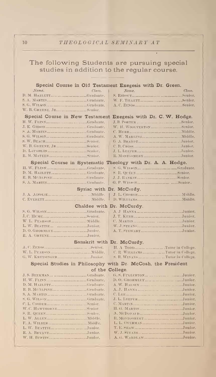### <sup>10</sup> THEOLOGICAL SEMINARY AT

 $\overline{\cdot}$ 

## The following Students are pursuing special studies in addition to the regular course.

| Special Course in Old Testament Exegesis with Dr. Green. |                                                                |
|----------------------------------------------------------|----------------------------------------------------------------|
| Name.<br>Class.                                          | Name.<br>Class.                                                |
|                                                          |                                                                |
|                                                          |                                                                |
|                                                          |                                                                |
|                                                          |                                                                |
|                                                          | Special Course in New Testament Exegesis with Dr. C. W. Hodge. |
|                                                          |                                                                |
|                                                          |                                                                |
|                                                          |                                                                |
|                                                          |                                                                |
|                                                          |                                                                |
| W. B. GREENE, JR Senior.                                 |                                                                |
|                                                          |                                                                |
|                                                          | R. MONTGOMERYJunior.                                           |
|                                                          |                                                                |
|                                                          | Special Course in Systematic Theology with Dr. A. A. Hodge.    |
|                                                          |                                                                |
|                                                          |                                                                |
|                                                          |                                                                |
|                                                          |                                                                |
|                                                          | Syriac with Dr. McCurdy.                                       |
|                                                          |                                                                |
|                                                          |                                                                |
|                                                          | Chaldee with Dr. McCurdy.                                      |
|                                                          |                                                                |
|                                                          |                                                                |
|                                                          |                                                                |
| L. W. BEATTIE Junior.                                    |                                                                |
| D. O. GHORMLEYJunior.                                    | A. T. STEWARTJunior.                                           |
|                                                          |                                                                |
|                                                          | Sanskrit with Dr. McCurdy.                                     |
|                                                          |                                                                |
|                                                          | C. R. WILLIAMS Tutor in College.                               |
|                                                          | S. R. WINANS   Tutor in College.                               |
|                                                          |                                                                |
|                                                          | Special Studies in Philosophy with Dr. McCosh, the President   |
|                                                          | of the College.                                                |
|                                                          | G. S. FULLERTON  Junior.                                       |
|                                                          | D. O. GHORMLEYJunior.                                          |
|                                                          |                                                                |
|                                                          |                                                                |
|                                                          |                                                                |
|                                                          |                                                                |
|                                                          |                                                                |
| W. C. HAWTHORNE  Senior.                                 |                                                                |
|                                                          |                                                                |
|                                                          | R. MONTGOMERYJunior.                                           |
|                                                          |                                                                |
| L. W. BEATTIEJunior.                                     |                                                                |
|                                                          | A. G. WARDLAWJunior.                                           |
|                                                          |                                                                |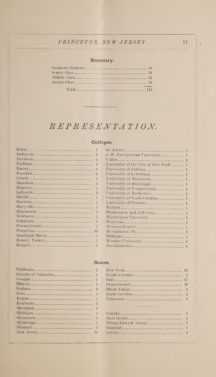#### Summary.

## REPRESENTATION.

#### Colleges.

| $\overline{2}$ | S. W. Presbyterian University 1      |
|----------------|--------------------------------------|
|                |                                      |
|                | University of the City of New York 1 |
|                |                                      |
|                | University of Lewisburg 1            |
|                |                                      |
|                |                                      |
|                |                                      |
| 3              |                                      |
|                | University of South Carolina 1       |
|                |                                      |
|                |                                      |
|                | Washington and Jefferson  1          |
|                |                                      |
|                |                                      |
|                |                                      |
|                |                                      |
|                |                                      |
|                |                                      |
|                |                                      |
|                |                                      |

#### States.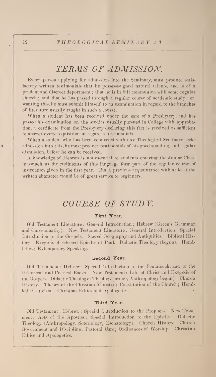## TERMS OF ADMISSION.

Every person applying for admission into the Seminary, must produce satis factory written testimonials that he possesses good natural talents, and is of a prudent and discreet deportment ; that he is in full communion with some regular church ; and that he has passed through a regular course of academic study ; or, wanting this, he must submit himself to an examination in regard to the branches of literature usually taught in such a course.

When a student has been received under the care of a Presbytery, and has passed his examination on the studies usually pursued in College with approbation, a certificate from the Presbytery declaring this fact is received as sufficient to answer every requisition in regard to testimonials.

When a student who has been connected with any Theological Seminary seeks admission into this, he must produce testimonials of his good standing, and regular dismission, before he can be received.

A knowledge of Hebrew is not essential to students entering the Junior Class, inasmuch as the rudiments of this language form part of the regular course of instruction given in the first year. But a previous acquaintance with at least the written character would be of great service to beginners.

## COURSE OF STUDY.

#### First Year.

Old Testament Literature : General Introduction ; Hebrew (Green's Grammar and Chrestomathv). New Testament Literature: General Introduction; Special Introduction to the Gospels. Sacred Geography and Antiquities. Biblical History. Exegesis of selected Epistles of Paul. Didactic Theology (begun). Homiletics ; Extemporary Speaking.

#### Second Year.

Old Testament: Hebrew; Special Introduction to the Pentateuch, and to the Historical and Poetical Books. New Testament: Life of Christ and Exegesis of the Gospels. Didactic Theology (Theology proper, Anthropology begun). Church History. Theory of the Christian Ministry ; Constitution of the Church ; Homiletic Criticism. Christian Ethics and Apologetics.

#### Third Year.

Old Testament : Hebrew ; Special Introduction to the Prophets. New Testa ment : Acts of the Apostles; Special Introduction to the Epistles. Didactic Theology (Anthropology, Soteriology, Eschatology). Church History. Church Government and Discipline; Pastoral Care; Ordinances of Worship. Christian Ethics and Apologetics.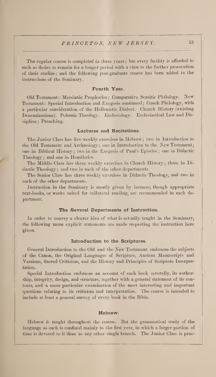The regular course is completed in three years ; but every facility is afforded to such as desire to remain for a longer period with a view to the further prosecution of their studies ; and the following post-graduate course has been added to the instructions of the Seminary.

#### Fourth Year.

Old Testament: Messianic Prophecies; Comparative Semitic Philology. New Testament: Special Introduction and Exegesis continued; Greek Philology, with a particular consideration of the Hellenistic Dialect. Church History (existing Denominations). Polemic Theology. Ecclesiology. Ecclesiastical Law and Discipline ; Preaching.

#### Lectures and Recitations.

The Junior Class has five weekly exercises in Hebrew; two in Introduction to the Old Testament and Archaeology; one in Introduction to the New Testament; one in Biblical History ; two in the Exegesis of Paul's Epistles ; one in Didactic Theology ; and one in Homiletics.

The Middle Class has three weekly exercises in Church History; three in Didactic Theology ; and two in each of the other departments.

The Senior Class has three weekly exercises in Didactic Theology, and two in each of the other departments.

Instruction in the Seminary is mostly given by lectures, though appropriate text-books, or works suited for collateral reading, are recommended in each de partment.

#### The Several Departments of Instruction.

In order to convey a clearer idea of what is actually taught in the Seminary, the following more explicit statements are made respecting the instruction here given.

#### Introduction to the Scriptures.

General Introduction to the Old and the New Testament embraces the subjects of the Canon, the Original Languages of Scripture, Ancient Manuscripts and Versions, Sacred Criticism, and the History and Principles of Scripture Interpretation.

Special Introduction embraces an account of each book severally, its authorship, integrity, design, and structure, together with a general statement of its contents, and a more particular examination of the most interesting and important questions relating to its criticism and interpretation. The course is intended to include at least a general survey of every book in the Bible.

#### Hebrew.

Hebrew is taught throughout the course. But the grammatical study of the language as such is confined mainly to the first year, in which a larger portion of time is devoted to it than to any other single branch. The Junior Class is prac-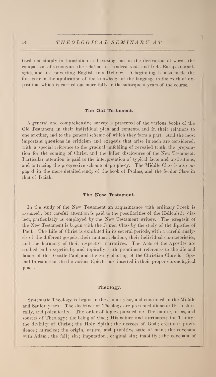tised not simply in translation and parsing, but in the derivation of words, the comparison of synonyms, the relations of kindred roots and Indo-European analogies, and in converting English into Hebrew. A beginning is also made the first year in the application of the knowledge of the language to the work of exposition, which is carried out more fully in the subsequent years of the course.

#### The Old Testament.

A general and comprehensive survey is presented of the various books of the Old Testament, in their individual plan and contents, and in their relations to one another, and to the general scheme of which they form a part. And the most important questions in criticism and exegesis that arise in each are considered, with a special reference to the gradual unfolding of revealed truth, the preparation for the coming of Christ, and the fuller disclosures of the New Testament. Particular attention is paid to the interpretation of typical facts and institutions, and to tracing the progressive scheme of prophecy. The Middle Class is also en gaged in the more detailed study of the book of Psalms, and the Senior Class in that of Isaiah.

#### The New Testament.

In the study of the New Testament an acquaintance with ordinary Greek is assumed ; but careful attention is paid to the peculiarities of the Hellenistic dialect, particularly as employed by the New Testament writers. The exegesis of the New Testament is begun with the Junior Class by the study of the Epistles of Paul. The Life of Christ is exhibited in its several periods, with a careful analysis of the different gospels, their mutual relations, their individual characteristics, and the harmony of their respective narratives. The Acts of the Apostles are studied both exegetically and topically, with prominent reference to the life and labors of the Apostle Paul, and the early planting of the Christian Church. Special Introductions to the various Epistles are inserted in their proper chronological place.

#### Theology.

Systematic Theology is begun in the Junior year, and continued in the Middle and Senior years. The doctrines of Theology are presented didactically, historically, and polemically. The order of topics pursued is: The nature, forms, and sources of Theology; the being of God; His nature and attributes; the Trinity; the divinity of Christ; the Holy Spirit; the decrees of God; creation; providence; miracles; the origin, nature, and primitive state of man; the covenant with Adam; the fall; sin; imputation; original sin; inability; the covenant of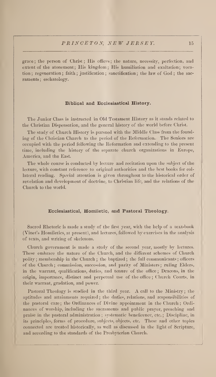grace ; the person of Christ ; His offices ; the nature, necessity, perfection, and extent of the atonement; His kingdom; His humiliation and exaltation; vocation; regeneration; faith; justification; sanctification; the law of God; the sac raments ; eschatology.

#### Biblical and Ecclesiastical History.

The Junior Class is instructed in Old Testament History as it stands related to the Christian Dispensation, and the general history of the world before Christ.

The study of Church History is pursued with the Middle Class from the found ing of the Christian Church to the period of the Reformation. The Seniors are occupied with the period following the Reformation and extending to the present time, including the history of the separate church organizations in Europe, America, and the East.

The whole course is conducted by lecture and recitation upon the subject of the lecture, with constant reference to original authorities and the best books for col lateral reading. Special attention is given throughout to the historical order of revelation and development of doctrine, to Christian life, and the relations of the Church to the world.

#### Ecclesiastical, Homiletic, and Pastoral Theology.

Sacred Rhetoric is made a study of the first year, with the help of a text-book (Vinet's Homiletics, at present), and lectures, followed by exercises in the analysis of texts, and writing of skeletons.

Church government is made a study of the second year, mostly by lectures. These embrace the nature of the Church, and the different schemes of Church polity ; membership in the' Church ; the baptized ; the full communicants ; officers of the Church ; commission, succession, and parity of Ministers ; ruling Elders, in the warrant, qualifications, duties, and tenure of the office ; Deacons, in the origin, importance, distinct and perpetual use of the office ; Church Courts, in their warrant, gradation, and power.

Pastoral Theology is studied in the third year. A call to the Ministry ; the aptitudes and attainments required; the duties, relations, and responsibilities of the pastoral care; the Ordinances of Divine appointment in the Church ; Ordi nances of worship, including the sacraments and public prayer, preaching and praise in the pastoral administration; systematic beneficence, etc.; Discipline, in its principles, forms of procedure, subjects, objects, etc. These and other topics connected are treated historically, as well as discussed in the light of Scripture, and according to the standards of the Presbyterian Church.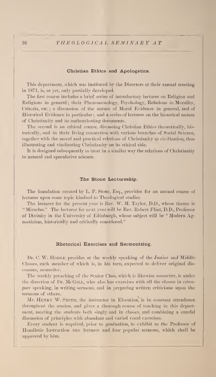#### Christian Ethics and Apologetics.

This department, which was instituted by the Directors at their annual meeting in 1871, is, as yet, only partially developed.

The first course includes a brief series of introductory lectures on Religion and Religions in general ; their Phenomenology, Psychology, Relations to Morality, Criteria, etc. ; a discussion of the nature of Moral Evidence in general, and of Historical Evidence in particular; and a series of lectures on the historical nature of Christianity and its authenticating documents.

The second is an ethical course, discussing Christian Ethics theoretically, his torically, and in their living connection with various branches of Social Science, together with the moral and practical relations of Christianity to civilization, thus illustrating and vindicating Christianity on its ethical side.

It is designed subsequently to treat in a similar way the relations of Christianity to natural and speculative science.

#### The Stone Lectureship.

The foundation created by L. P. Stone, Esq., provides for an annual course of lectures upon some topic kindred to Theological studies.

The lecturer for the present year is Rev. W. M. Taylor, D.D., whose theme is "Miracles." The lecturer for next year will be Rev. Robert Flint, D.D., Professor of Divinity in the University of Edinburgh, whose subject will be " Modern Agnosticism, historically and critically considered."

#### Rhetorical Exercises and Sermonizing.

Dr. C. W. Hodge presides at the weekly speaking of the Junior and Middle  $\cdot$ Classes, each member of which is, in his turn, expected to deliver original dis courses, memoriter.

The weekly preaching of the Senior Class, which is likewise memoriter, is under the direction of Dr. McGILL, who also has excreises with all the classes in extempore speaking, in writing sermons, and in preparing written criticisms upon the sermons of others.

Mr. HENRY W. SMITH, the instructor in Elocution, is in constant attendance throughout the session, and gives a thorough course of teaching in this depart ment, meeting the students both singly and in classes, and combining a careful discussion of principles with abundant and varied vocal exercises.

Every student is required, prior to graduation, to exhibit to the Professor of Homiletic Instruction two lectures and four popular sermons, which shall be approved bv him.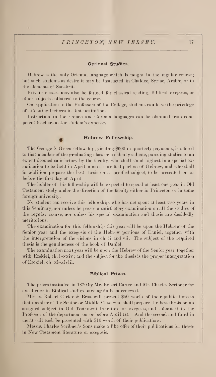#### Optional Studies.

Hebrew is the only Oriental language which is taught in the regular course; but such students as desire it may be instructed in Chaldee, Syriac, Arabic, or in the elements of Sanskrit.

Private classes may also be formed for classical reading, Biblical exegesis, or other subjects collateral to the course.

On application to the Professors of the College, students can have the privilege of attending lectures in that institution.

Instruction in the French and German languages can be obtained from competent teachers at the student's expense.

#### Hebrew Fellowship.

^

The George S. Green fellowship, yielding \$600 in quarterly payments, is offered to that member of the graduating class or resident graduate, pursuing studies to an extent deemed satisfactory by the faculty, who shall stand highest in a special ex amination to be held in April upon a specified portion of Hebrew, and who shall in addition prepare the best thesis on a specified subject, to be presented on or before the first day of April.

The holder of this fellowship will be expected to spend at least one year in Old Testament study under the direction of the faculty either in Princeton or in some foreign university.

No student can receive this fellowship, who has not spent at least two years in this Seminary, nor unless he passes a satisfactory examination on all the studies of the regular course, nor unless his special examination and thesis are decidedly meritorious.

The examination for this fellowship this year will be upon the Hebrew of the Senior year and the exegesis of the Hebrew portions of Daniel, together with the interpretation of the visions in ch. ii and vii. The subject of the required thesis is the genuineness of the book of Daniel.

The examination next year will be upon the Hebrew of the Senior year, together with Ezekiel, ch. i-xxiv; and the subject for the thesis is the proper interpretation of Ezekiel, ch. xl-xlviii.

#### Biblical Prizes.

The prizes instituted in 1870 by Mr. Robert Carter and Mr. Charles Scribner for excellence in Biblical studies have again been renewed.

Messrs. Robert Carter & Bros, will present \$50 worth of their publications to that member of the Senior or Middle Class who shall prepare the best thesis on an assigned subject in Old Testament literature or exegesis, and submit it to the Professor of the department on or before April 1st. And the second and third in merit will each be presented with \$10 worth of their publications.

Messrs. Charles Scribner's Sons make a like offer of their publications for theses in New Testament literature or exegesis.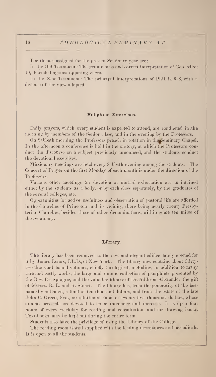The themes assigned for the present Seminary year are:

In the Old Testament: The genuineness and correct interpretation of Gen. xlix: 10, defended against opposing views.

In the New Testament: The principal interpretations of Phil. ii. 6-8, with <sup>a</sup> defence of the view adopted.

#### Religious Exercises.

Daily prayers, which every student is expected to attend, are conducted in the morning by members of the Senior Class, and in the evening by the Professors.

On Sabbath morning the Professors preach in rotation in the Seminary Chapel. In the afternoon a conference is held in the oratory, at which the Professors con duct the discourse on a subject previously announced, and the students conduct the devotional exercises.

Missionary meetings are held every Sabbath evening among the students. The Concert of Prayer on the first Monday of each month is under the direction of the Professors.

Various other meetings for devotion or mutual exhortation are maintained either by the students as a body, or by each class separately, by the graduates of the several colleges, etc.

Opportunities for active usefulness and observation of pastoral life are afforded in the Churches of Princeton and its vicinity, there being nearly twenty Presbyterian Churches, besides those of other denominations, within some ten miles of the Seminary.

#### Library.

The library has been removed to the new and elegant edifice lately erected for it by James Lenox, LL.D., of New York. The library now contains about thirty two thousand bound volumes, chiefly theological, including, in addition to many rare and costly works, the large and unique collection of pamphlets presented by the Rev. Dr. Sprague, and the valuable library of Dr. Addison Alexander, the gift of Messrs. R. L. and A. Stuart. The library has, from the generosity of the last named gentlemen, a fund of ten thousand dollars, and from the estate of the late John C. Green, Esq., an additional fund of twenty-five thousand dollars, whose annual proceeds are devoted to its maintenance and increase. It is open four hours of every weekday for reading and consultation, and for drawing books. Text-books may be kept out during the entire term.

Students also have the privilege of using the Library of the College.

The reading room is well supplied with the leading newspapers and periodicals. It is open to all the students.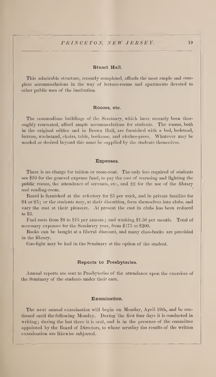#### Stuart Hall.

This admirable structure, recently completed, affords the most ample and complete accommodations in the way of lecture-rooms and apartments devoted to other public uses of the institution.

#### Rooms, etc.

The commodious buildings of the Seminary, which have recently been thor oughly renovated, afford ample accommodations for students. The rooms, both in the original edifice and in Brown Hall, are furnished with a bed, bedstead, bureau, washstand, chairs, table, bookcase, and clothes-press. Whatever may be needed or desired beyond this must be supplied by the students themselves.

#### Expenses.

There is no charge for tuition or room-rent. The only fees required of students are \$10 for the general expense fund, to pay the cost of warming and lighting the public rooms, the attendance of servants, etc., and \$2 for the use of the library and reading-room.

Board is furnished at the refectory for \$3 per week, and in private families for \$4 or \$5 ; or the students may, at their discretion, form themselves into clubs, and vary the cost at their pleasure. At present the cost in clubs has been reduced to \$3.

Fuel costs from \$8 to \$15 per annum ; and washing \$1.50 per month. Total of necessary expenses for the Seminary year, from \$175 to \$200.

Books can be bought at a liberal discount, and many class-books are provided in the library.

Gas-light may be had in the Seminary at the option of the student.

#### Reports to Presbyteries.

Annual reports are sent to Presbyteries of the attendance upon the exercises of the Seminary of the students under their care.

#### Examination.

The next annual examination will begin on Monday, April 19th, and be con tinued until the following Monday. During the first four days it is conducted in writing; during the last three it is oral, and is in the presence of the committee appointed by the Board of Directors, to whose scrutiny the results of the written examination are likewise subjected.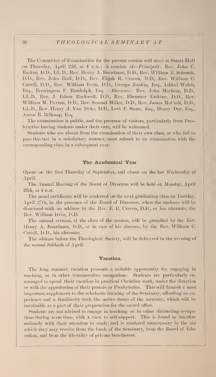#### <sup>20</sup> THEOLOGICAL SEMINARY AT

The Committee of Examination for the present session will meet at Stuart Hall on Thursday, April 22d, at 4 p.m.; it consists of—*Principals*: Rev. John C.  $\qquad$ Backus, D.D., LL.D., Rev. Henry A. Boardman, D.D., Rev. William E. Schenck, D.D., Rev. John Hall, D.D., Rev. Elijah R. Craven, D.D., Rev. William C. Cattell, D.D., Rev. William Irvin, D.I)., George Junkin, Esq., Ashbel Welch, Esq., Bennington F. Randolph, Esq. Alternates: Rev. John Maclean, D.D., LL.D., Rev. J. Edson Rockwell, D.D., Rev. Ebenezer Erskine, D.D., Rev. William M. Paxton, D.D., Rev. Samuel Miller, D.D., Rev. James McCosh, D.D., LL.D., Rev. Henry J. Van Dyke, D.D., Levi P. Stone, Esq., Henry Day, Esq., Aaron B. Belknap, Esq.

The examination is publie, and the presence of visitors, particularly from Presbyteries having students under their care, will be welcomed.

Students who are absent from the examination of their own class, or who fail to pass this test in a satisfactory manner, must submit to an examination with the corresponding class in a subsequent year.

#### The Academical Year

Opens on the first Thursday of September, and closes on the last Wednesday of April.

The Annual Meeting of the Board of Directors will be held on Monday, April 26th, at 4 p.m.

The usual certificates will be conferred on the next graduating class on Tuesday, April 27th, in the presence of the Board of Directors, when the students will be dismissed with an address by the Rev. E. R. Craven, D.D., or his alternate, the Rev. William Irvin, D.D.

The annual sermon, at the close of the session, will be preached by the Rev. Henry A. Boardman, D.D., or in case of his absence, by the Rev. William C. Cattell, D.D., his alternate.

The address before the Theological Society, will be delivered in the evening of the second Sabbath of April.

#### Vacation.

The long summer vacation presents a suitable opportunity for engaging in teaching, or in other remunerative occupations. Students are particularly en couraged to spend their vacation in practical Christian work, under the direction or with the approbation of their pastors or Presbyteries. This will furnish a most important supplement to the scholastic training of the Seminary, affording an ex perience and a familiarity with the active duties of the ministry, which will be invaluable as a part of their preparation for the sacred office.

Students are not advised to engage in teaching or in other distracting occupations during term time, with a view to self-support. This is found to interfere seriously with their attention to study, and is rendered unnecessary by the aid which they may receive from the funds of the Seminary, from the Board of Education, and from the liberality of private benefactors.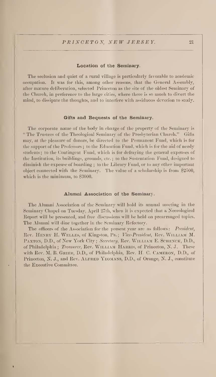#### Location of the Seminary.

The seclusion and quiet of a rural village is particularly favorable to academic occupation. It was for this, among other reasons, that the General Assembly, after mature deliberation, selected Princeton as the site of the oldest Seminary of the Church, in preference to the large cities, where there is so much to divert the mind, to dissipate the thoughts, and to interfere with assiduous devotion to study.

#### Gifts and Bequests of the Seminary.

The corporate name of the body in charge of the property of the Seminary is " The Trustees of the Theological Seminary of the Presbyterian Church." Gifts may, at the pleasure of donors, he directed to the Permanent Fund, which is for the support of the Professors ; to the Education Fund, which is for the aid of needy students; to the Contingent Fund, which is for defraying the general expenses of the Institution, its buildings, grounds, etc. ; to the Sustentation Fund, designed to diminish the expense of hoarding ; to the Library Fund, or to any other important object connected with the Seminary. The value of a scholarship is from \$2500, which is the minimum, to \$3000.

#### Alumni Association of the Seminary.

The Alumni Association of the Seminary will hold its annual meeting in the Seminary Chapel on Tuesday, April 27th, when it is expected that a Neerological Report will be presented, and free discussions will be held on prearranged topics. The Alumni will dine together in the Seminary Refectory.

The officers of the Association for the present year are as follows: President, Rev. HENRY H. WELLES, of Kingston, Pa.; Vice-President, Rev. WILLIAM M. PAXTON, D.D., of New York City; Secretary, Rev. WILLIAM E. SCHENCK, D.D., of Philadelphia ; Treasurer, Rev. WILLIAM HARRIS, of Princeton, N. J. These with Rev. M. B. GRIER, D.D., of Philadelphia, Rev. H. C. CAMERON, D.D., of Princeton, N. J., and Rev. ALFRED YEOMANS, D.D., of Orange, N. J., eonstitute the Executive Committee.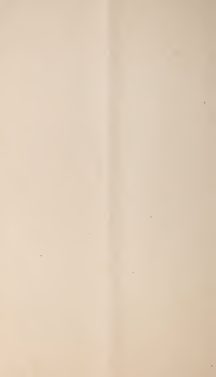÷, ¢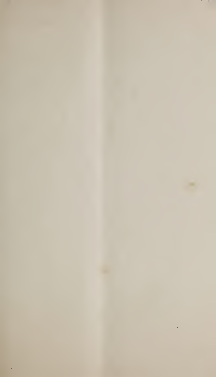n m

 $\mathcal{L}_{\mathcal{A}}$ 

ł,

Ŷ,

and i

ł,